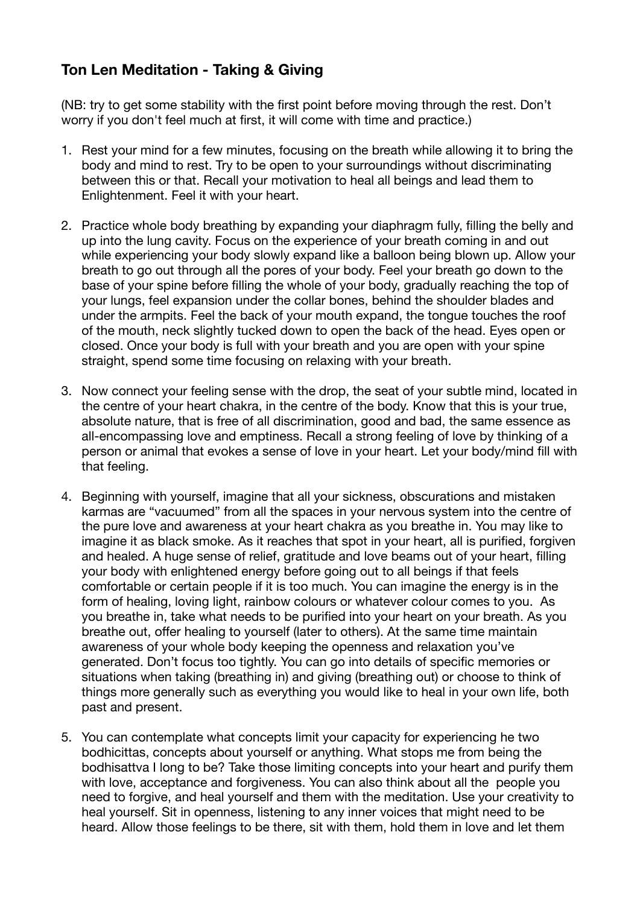## **Ton Len Meditation - Taking & Giving**

(NB: try to get some stability with the first point before moving through the rest. Don't worry if you don't feel much at first, it will come with time and practice.)

- 1. Rest your mind for a few minutes, focusing on the breath while allowing it to bring the body and mind to rest. Try to be open to your surroundings without discriminating between this or that. Recall your motivation to heal all beings and lead them to Enlightenment. Feel it with your heart.
- 2. Practice whole body breathing by expanding your diaphragm fully, filling the belly and up into the lung cavity. Focus on the experience of your breath coming in and out while experiencing your body slowly expand like a balloon being blown up. Allow your breath to go out through all the pores of your body. Feel your breath go down to the base of your spine before filling the whole of your body, gradually reaching the top of your lungs, feel expansion under the collar bones, behind the shoulder blades and under the armpits. Feel the back of your mouth expand, the tongue touches the roof of the mouth, neck slightly tucked down to open the back of the head. Eyes open or closed. Once your body is full with your breath and you are open with your spine straight, spend some time focusing on relaxing with your breath.
- 3. Now connect your feeling sense with the drop, the seat of your subtle mind, located in the centre of your heart chakra, in the centre of the body. Know that this is your true, absolute nature, that is free of all discrimination, good and bad, the same essence as all-encompassing love and emptiness. Recall a strong feeling of love by thinking of a person or animal that evokes a sense of love in your heart. Let your body/mind fill with that feeling.
- 4. Beginning with yourself, imagine that all your sickness, obscurations and mistaken karmas are "vacuumed" from all the spaces in your nervous system into the centre of the pure love and awareness at your heart chakra as you breathe in. You may like to imagine it as black smoke. As it reaches that spot in your heart, all is purified, forgiven and healed. A huge sense of relief, gratitude and love beams out of your heart, filling your body with enlightened energy before going out to all beings if that feels comfortable or certain people if it is too much. You can imagine the energy is in the form of healing, loving light, rainbow colours or whatever colour comes to you. As you breathe in, take what needs to be purified into your heart on your breath. As you breathe out, offer healing to yourself (later to others). At the same time maintain awareness of your whole body keeping the openness and relaxation you've generated. Don't focus too tightly. You can go into details of specific memories or situations when taking (breathing in) and giving (breathing out) or choose to think of things more generally such as everything you would like to heal in your own life, both past and present.
- 5. You can contemplate what concepts limit your capacity for experiencing he two bodhicittas, concepts about yourself or anything. What stops me from being the bodhisattva I long to be? Take those limiting concepts into your heart and purify them with love, acceptance and forgiveness. You can also think about all the people you need to forgive, and heal yourself and them with the meditation. Use your creativity to heal yourself. Sit in openness, listening to any inner voices that might need to be heard. Allow those feelings to be there, sit with them, hold them in love and let them